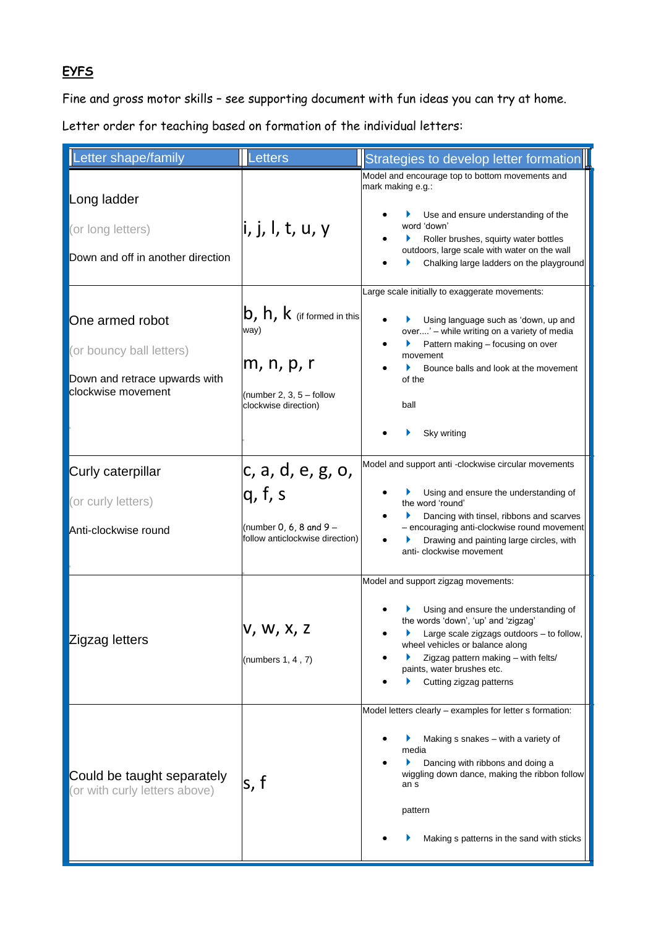# **EYFS**

Fine and gross motor skills – see supporting document with fun ideas you can try at home.

Letter order for teaching based on formation of the individual letters:

| Letter shape/family                                                                                | Letters                                                                                                                           | Strategies to develop letter formation                                                                                                                                                                                                                                                                   |
|----------------------------------------------------------------------------------------------------|-----------------------------------------------------------------------------------------------------------------------------------|----------------------------------------------------------------------------------------------------------------------------------------------------------------------------------------------------------------------------------------------------------------------------------------------------------|
| Long ladder<br>(or long letters)<br>Down and off in another direction                              | li, j, l, t, u, y                                                                                                                 | Model and encourage top to bottom movements and<br>mark making e.g.:<br>Use and ensure understanding of the<br>word 'down'<br>Roller brushes, squirty water bottles<br>outdoors, large scale with water on the wall<br>Chalking large ladders on the playground                                          |
| One armed robot<br>(or bouncy ball letters)<br>Down and retrace upwards with<br>clockwise movement | $\mathsf{b},\mathsf{h},\mathsf{k}$ (if formed in this<br>way)<br>m, n, p, r<br>(number 2, 3, $5 -$ follow<br>clockwise direction) | Large scale initially to exaggerate movements:<br>Using language such as 'down, up and<br>over' - while writing on a variety of media<br>Pattern making - focusing on over<br>movement<br>Bounce balls and look at the movement<br>Þ.<br>of the<br>ball<br>Sky writing                                   |
| Curly caterpillar<br>(or curly letters)<br>Anti-clockwise round                                    | c, a, d, e, g, o,<br>q, f, s<br>(number 0, 6, 8 and $9-$<br>follow anticlockwise direction)                                       | Model and support anti -clockwise circular movements<br>Using and ensure the understanding of<br>the word 'round'<br>Dancing with tinsel, ribbons and scarves<br>- encouraging anti-clockwise round movement<br>Drawing and painting large circles, with<br>anti-clockwise movement                      |
| Zigzag letters                                                                                     | <b>V, W, X, Z</b><br>(numbers $1, 4, 7$ )                                                                                         | Model and support zigzag movements:<br>Using and ensure the understanding of<br>the words 'down', 'up' and 'zigzag'<br>Large scale zigzags outdoors - to follow,<br>▶<br>wheel vehicles or balance along<br>Zigzag pattern making - with felts/<br>paints, water brushes etc.<br>Cutting zigzag patterns |
| Could be taught separately<br>(or with curly letters above)                                        | ls, f                                                                                                                             | Model letters clearly - examples for letter s formation:<br>Making s snakes - with a variety of<br>media<br>Dancing with ribbons and doing a<br>wiggling down dance, making the ribbon follow<br>an s<br>pattern<br>Making s patterns in the sand with sticks                                            |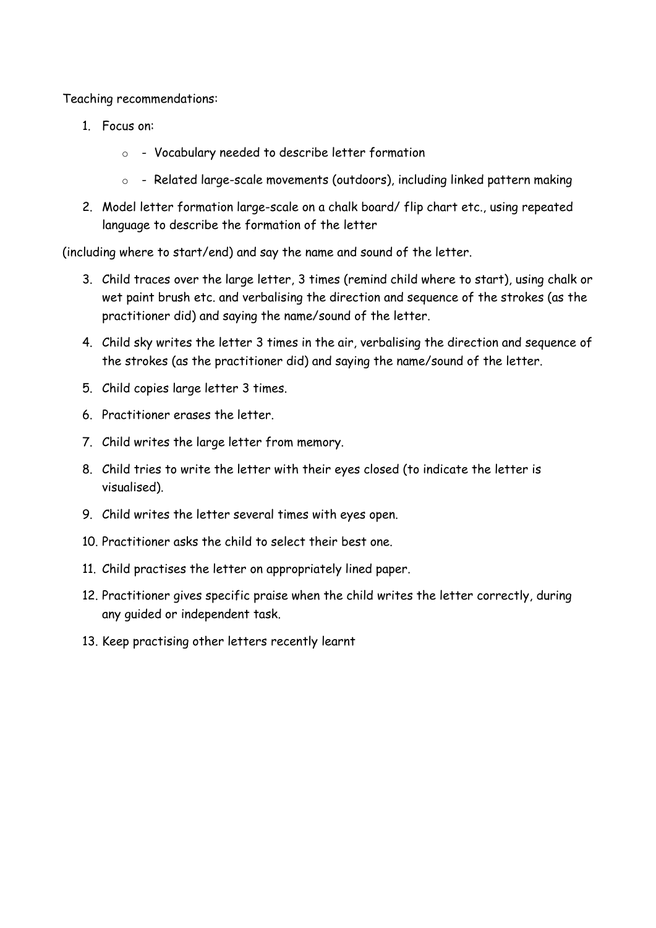Teaching recommendations:

- 1. Focus on:
	- o Vocabulary needed to describe letter formation
	- o Related large-scale movements (outdoors), including linked pattern making
- 2. Model letter formation large-scale on a chalk board/ flip chart etc., using repeated language to describe the formation of the letter

(including where to start/end) and say the name and sound of the letter.

- 3. Child traces over the large letter, 3 times (remind child where to start), using chalk or wet paint brush etc. and verbalising the direction and sequence of the strokes (as the practitioner did) and saying the name/sound of the letter.
- 4. Child sky writes the letter 3 times in the air, verbalising the direction and sequence of the strokes (as the practitioner did) and saying the name/sound of the letter.
- 5. Child copies large letter 3 times.
- 6. Practitioner erases the letter.
- 7. Child writes the large letter from memory.
- 8. Child tries to write the letter with their eyes closed (to indicate the letter is visualised).
- 9. Child writes the letter several times with eyes open.
- 10. Practitioner asks the child to select their best one.
- 11. Child practises the letter on appropriately lined paper.
- 12. Practitioner gives specific praise when the child writes the letter correctly, during any guided or independent task.
- 13. Keep practising other letters recently learnt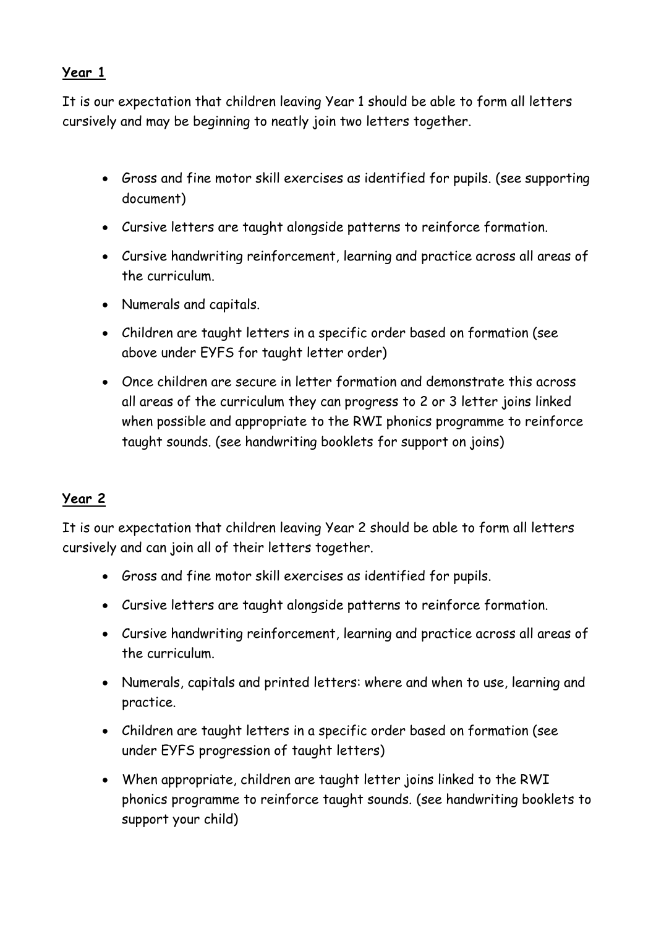### **Year 1**

It is our expectation that children leaving Year 1 should be able to form all letters cursively and may be beginning to neatly join two letters together.

- Gross and fine motor skill exercises as identified for pupils. (see supporting document)
- Cursive letters are taught alongside patterns to reinforce formation.
- Cursive handwriting reinforcement, learning and practice across all areas of the curriculum.
- Numerals and capitals.
- Children are taught letters in a specific order based on formation (see above under EYFS for taught letter order)
- Once children are secure in letter formation and demonstrate this across all areas of the curriculum they can progress to 2 or 3 letter joins linked when possible and appropriate to the RWI phonics programme to reinforce taught sounds. (see handwriting booklets for support on joins)

## **Year 2**

It is our expectation that children leaving Year 2 should be able to form all letters cursively and can join all of their letters together.

- Gross and fine motor skill exercises as identified for pupils.
- Cursive letters are taught alongside patterns to reinforce formation.
- Cursive handwriting reinforcement, learning and practice across all areas of the curriculum.
- Numerals, capitals and printed letters: where and when to use, learning and practice.
- Children are taught letters in a specific order based on formation (see under EYFS progression of taught letters)
- When appropriate, children are taught letter joins linked to the RWI phonics programme to reinforce taught sounds. (see handwriting booklets to support your child)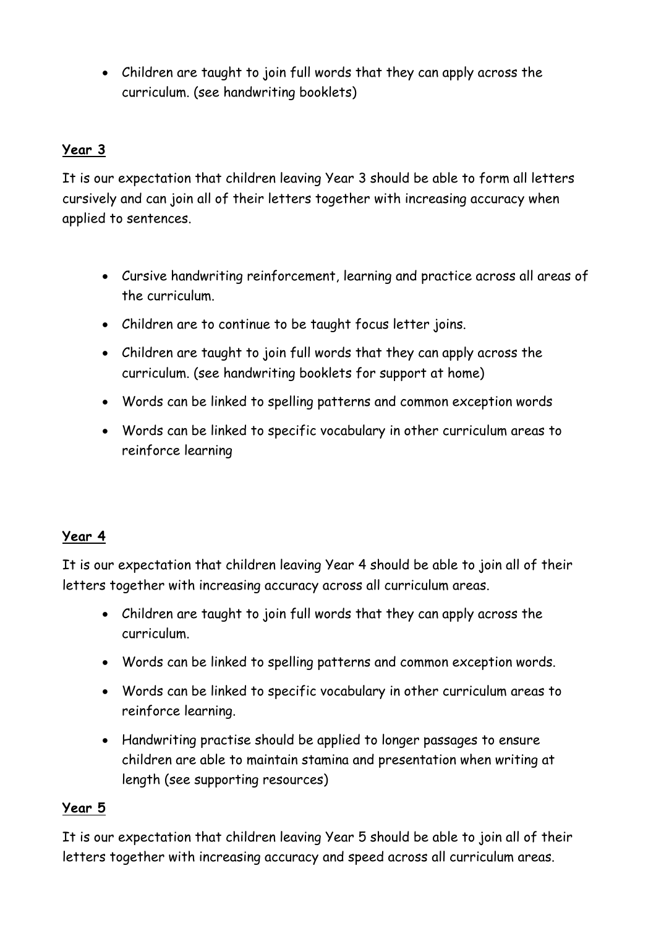• Children are taught to join full words that they can apply across the curriculum. (see handwriting booklets)

# **Year 3**

It is our expectation that children leaving Year 3 should be able to form all letters cursively and can join all of their letters together with increasing accuracy when applied to sentences.

- Cursive handwriting reinforcement, learning and practice across all areas of the curriculum.
- Children are to continue to be taught focus letter joins.
- Children are taught to join full words that they can apply across the curriculum. (see handwriting booklets for support at home)
- Words can be linked to spelling patterns and common exception words
- Words can be linked to specific vocabulary in other curriculum areas to reinforce learning

#### **Year 4**

It is our expectation that children leaving Year 4 should be able to join all of their letters together with increasing accuracy across all curriculum areas.

- Children are taught to join full words that they can apply across the curriculum.
- Words can be linked to spelling patterns and common exception words.
- Words can be linked to specific vocabulary in other curriculum areas to reinforce learning.
- Handwriting practise should be applied to longer passages to ensure children are able to maintain stamina and presentation when writing at length (see supporting resources)

#### **Year 5**

It is our expectation that children leaving Year 5 should be able to join all of their letters together with increasing accuracy and speed across all curriculum areas.